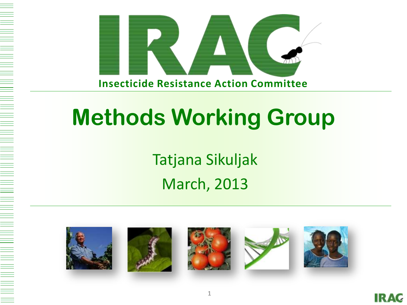

# **Methods Working Group**

Tatjana Sikuljak March, 2013



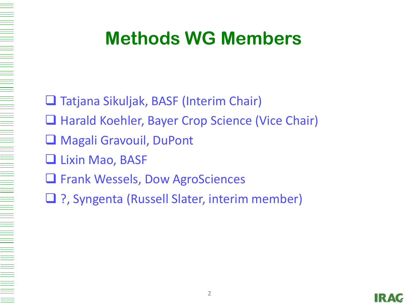### **Methods WG Members**

- □ Tatjana Sikuljak, BASF (Interim Chair)
- **Harald Koehler, Bayer Crop Science (Vice Chair)**
- Magali Gravouil, DuPont
- **Lixin Mao, BASF**

- **Q** Frank Wessels, Dow AgroSciences
- □ ?, Syngenta (Russell Slater, interim member)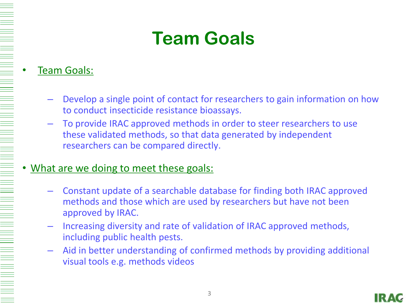## **Team Goals**

#### • Team Goals:

- Develop a single point of contact for researchers to gain information on how to conduct insecticide resistance bioassays.
- To provide IRAC approved methods in order to steer researchers to use these validated methods, so that data generated by independent researchers can be compared directly.

#### What are we doing to meet these goals:

- Constant update of a searchable database for finding both IRAC approved methods and those which are used by researchers but have not been approved by IRAC.
- Increasing diversity and rate of validation of IRAC approved methods, including public health pests.
- Aid in better understanding of confirmed methods by providing additional visual tools e.g. methods videos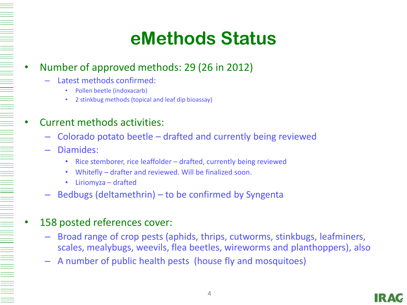### **eMethods Status**

#### • Number of approved methods: 29 (26 in 2012)

- Latest methods confirmed:
	- Pollen beetle (indoxacarb)
	- 2 stinkbug methods (topical and leaf dip bioassay)

#### • Current methods activities:

- Colorado potato beetle drafted and currently being reviewed
- Diamides:

- Rice stemborer, rice leaffolder drafted, currently being reviewed
- Whitefly drafter and reviewed. Will be finalized soon.
- Liriomyza drafted
- Bedbugs (deltamethrin) to be confirmed by Syngenta

#### 158 posted references cover:

- Broad range of crop pests (aphids, thrips, cutworms, stinkbugs, leafminers, scales, mealybugs, weevils, flea beetles, wireworms and planthoppers), also
- A number of public health pests (house fly and mosquitoes)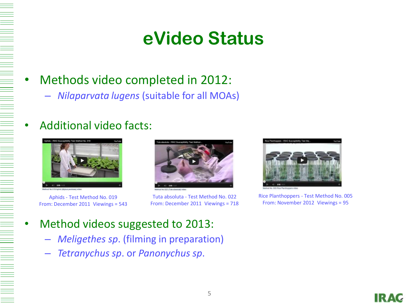### **eVideo Status**

### • Methods video completed in 2012:

– *Nilaparvata lugens* (suitable for all MOAs)

#### • Additional video facts:



Aphids - Test Method No. 019 From: December 2011 Viewings = 543



Tuta absoluta - Test Method No. 022 From: December 2011 Viewings = 718



Rice Planthoppers - Test Method No. 005 From: November 2012 Viewings = 95

- Method videos suggested to 2013:
	- *Meligethes sp*. (filming in preparation)
	- *Tetranychus sp*. or *Panonychus sp*.